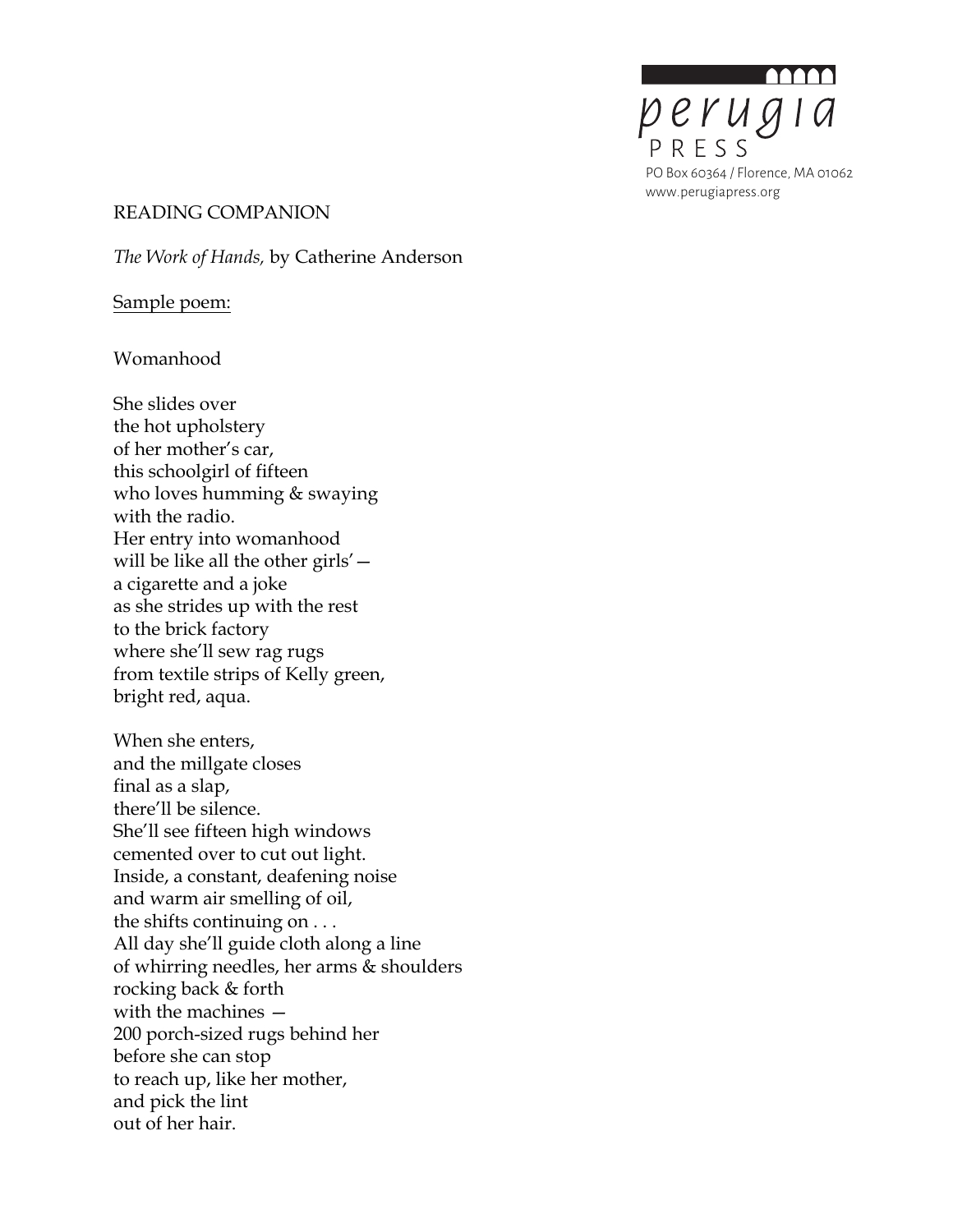

### READING COMPANION

*The Work of Hands,* by Catherine Anderson

## Sample poem:

# Womanhood

She slides over the hot upholstery of her mother's car, this schoolgirl of fifteen who loves humming & swaying with the radio. Her entry into womanhood will be like all the other girls' a cigarette and a joke as she strides up with the rest to the brick factory where she'll sew rag rugs from textile strips of Kelly green, bright red, aqua.

When she enters, and the millgate closes final as a slap, there'll be silence. She'll see fifteen high windows cemented over to cut out light. Inside, a constant, deafening noise and warm air smelling of oil, the shifts continuing on . . . All day she'll guide cloth along a line of whirring needles, her arms & shoulders rocking back & forth with the machines — 200 porch-sized rugs behind her before she can stop to reach up, like her mother, and pick the lint out of her hair.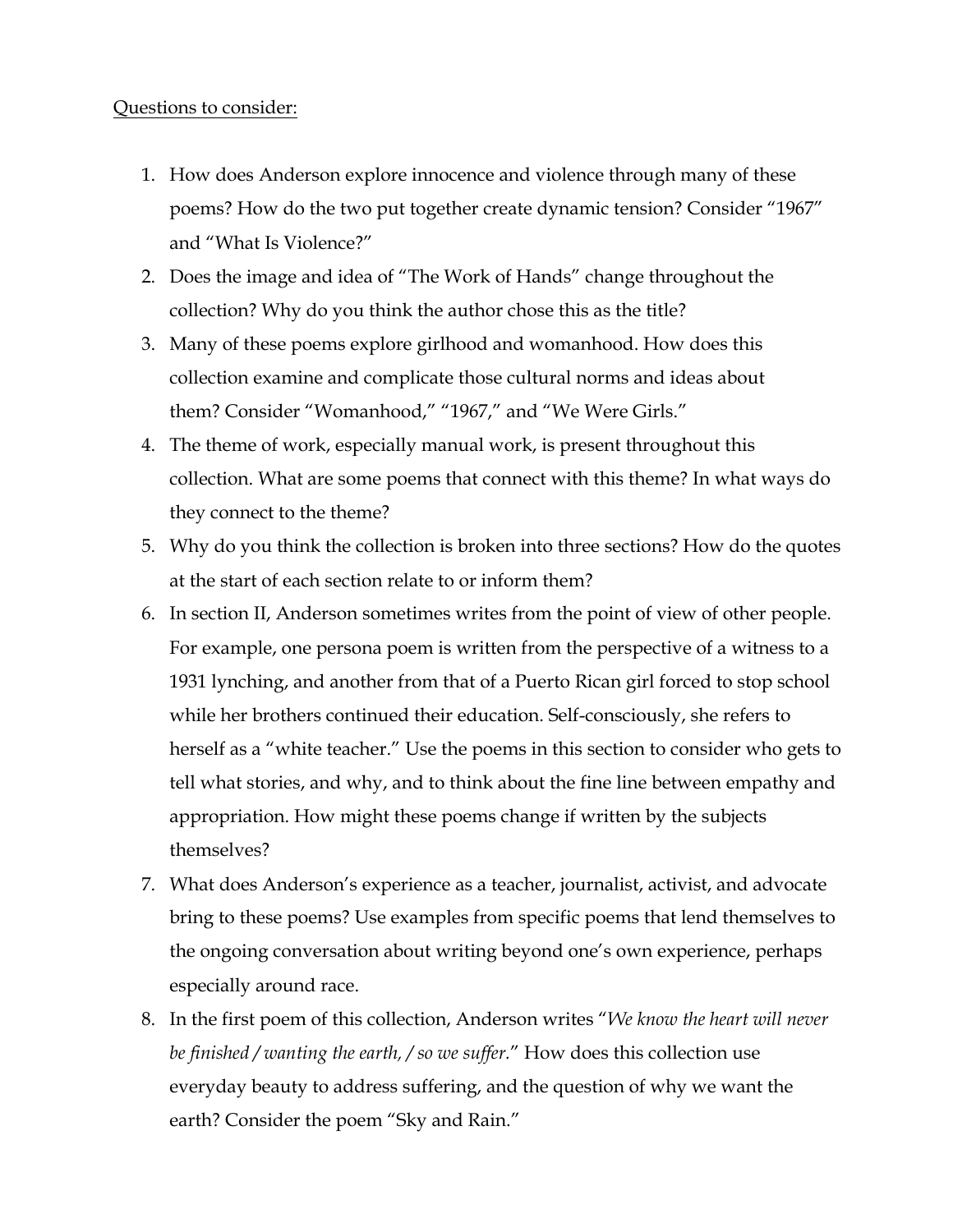### Questions to consider:

- 1. How does Anderson explore innocence and violence through many of these poems? How do the two put together create dynamic tension? Consider "1967" and "What Is Violence?"
- 2. Does the image and idea of "The Work of Hands" change throughout the collection? Why do you think the author chose this as the title?
- 3. Many of these poems explore girlhood and womanhood. How does this collection examine and complicate those cultural norms and ideas about them? Consider "Womanhood," "1967," and "We Were Girls."
- 4. The theme of work, especially manual work, is present throughout this collection. What are some poems that connect with this theme? In what ways do they connect to the theme?
- 5. Why do you think the collection is broken into three sections? How do the quotes at the start of each section relate to or inform them?
- 6. In section II, Anderson sometimes writes from the point of view of other people. For example, one persona poem is written from the perspective of a witness to a 1931 lynching, and another from that of a Puerto Rican girl forced to stop school while her brothers continued their education. Self-consciously, she refers to herself as a "white teacher." Use the poems in this section to consider who gets to tell what stories, and why, and to think about the fine line between empathy and appropriation. How might these poems change if written by the subjects themselves?
- 7. What does Anderson's experience as a teacher, journalist, activist, and advocate bring to these poems? Use examples from specific poems that lend themselves to the ongoing conversation about writing beyond one's own experience, perhaps especially around race.
- 8. In the first poem of this collection, Anderson writes "*We know the heart will never be finished / wanting the earth, / so we suffer.*" How does this collection use everyday beauty to address suffering, and the question of why we want the earth? Consider the poem "Sky and Rain."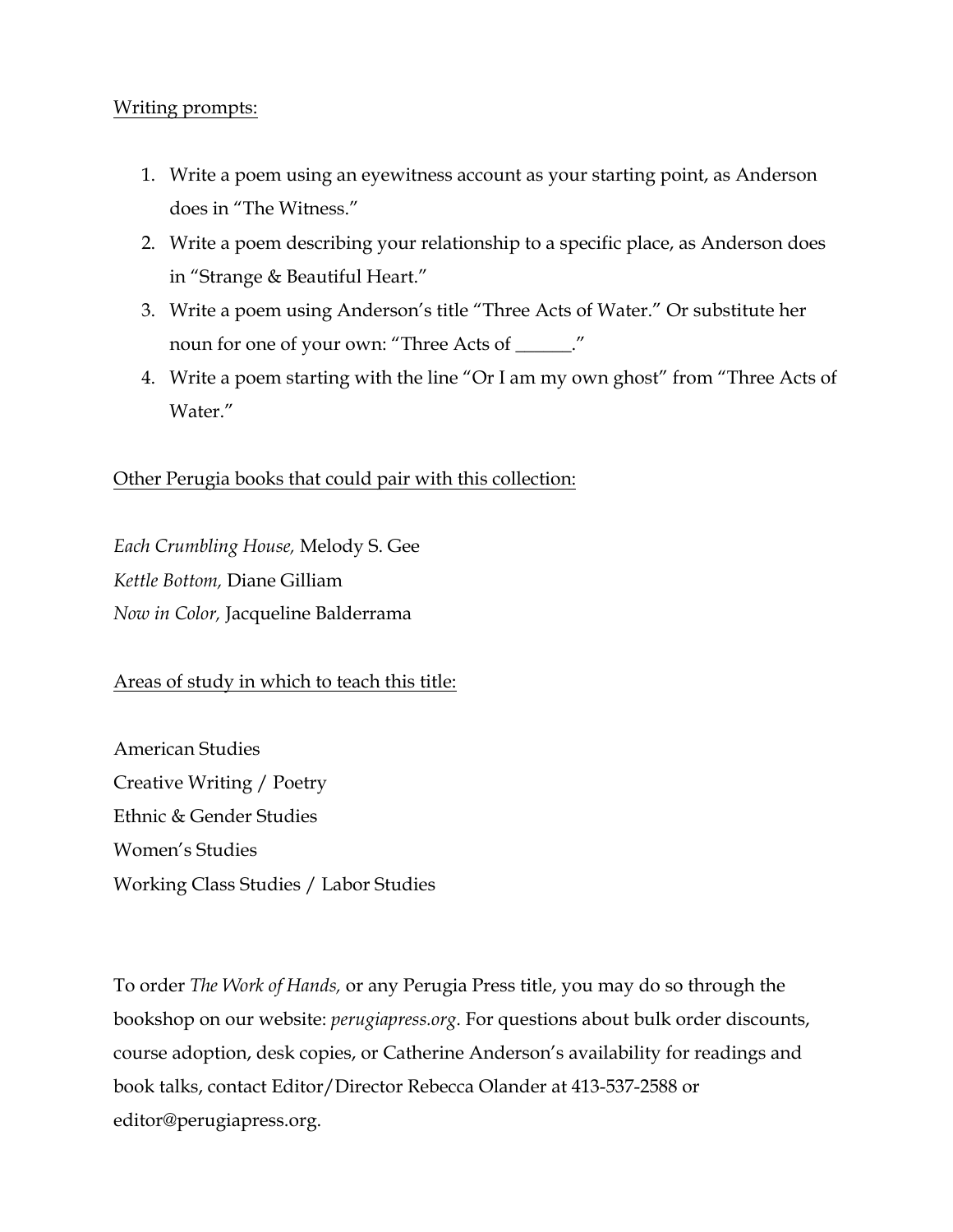# Writing prompts:

- 1. Write a poem using an eyewitness account as your starting point, as Anderson does in "The Witness."
- 2. Write a poem describing your relationship to a specific place, as Anderson does in "Strange & Beautiful Heart."
- 3. Write a poem using Anderson's title "Three Acts of Water." Or substitute her noun for one of your own: "Three Acts of \_\_\_\_\_\_."
- 4. Write a poem starting with the line "Or I am my own ghost" from "Three Acts of Water."

# Other Perugia books that could pair with this collection:

*Each Crumbling House,* Melody S. Gee *Kettle Bottom,* Diane Gilliam *Now in Color,* Jacqueline Balderrama

# Areas of study in which to teach this title:

American Studies Creative Writing / Poetry Ethnic & Gender Studies Women's Studies Working Class Studies / Labor Studies

To order *The Work of Hands,* or any Perugia Press title, you may do so through the bookshop on our website: *perugiapress.org*. For questions about bulk order discounts, course adoption, desk copies, or Catherine Anderson's availability for readings and book talks, contact Editor/Director Rebecca Olander at 413-537-2588 or editor@perugiapress.org.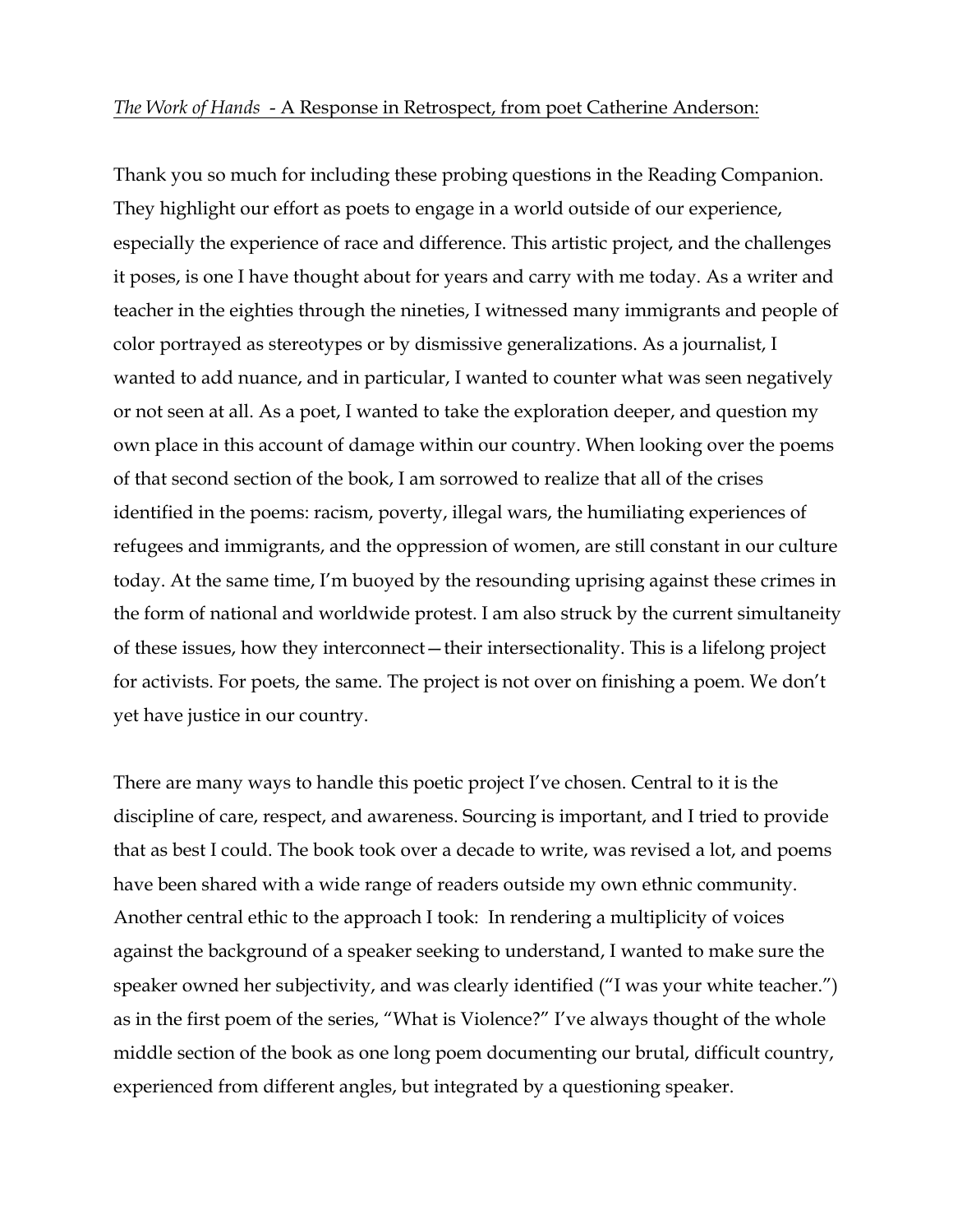#### *The Work of Hands* - A Response in Retrospect, from poet Catherine Anderson:

Thank you so much for including these probing questions in the Reading Companion. They highlight our effort as poets to engage in a world outside of our experience, especially the experience of race and difference. This artistic project, and the challenges it poses, is one I have thought about for years and carry with me today. As a writer and teacher in the eighties through the nineties, I witnessed many immigrants and people of color portrayed as stereotypes or by dismissive generalizations. As a journalist, I wanted to add nuance, and in particular, I wanted to counter what was seen negatively or not seen at all. As a poet, I wanted to take the exploration deeper, and question my own place in this account of damage within our country. When looking over the poems of that second section of the book, I am sorrowed to realize that all of the crises identified in the poems: racism, poverty, illegal wars, the humiliating experiences of refugees and immigrants, and the oppression of women, are still constant in our culture today. At the same time, I'm buoyed by the resounding uprising against these crimes in the form of national and worldwide protest. I am also struck by the current simultaneity of these issues, how they interconnect—their intersectionality. This is a lifelong project for activists. For poets, the same. The project is not over on finishing a poem. We don't yet have justice in our country.

There are many ways to handle this poetic project I've chosen. Central to it is the discipline of care, respect, and awareness. Sourcing is important, and I tried to provide that as best I could. The book took over a decade to write, was revised a lot, and poems have been shared with a wide range of readers outside my own ethnic community. Another central ethic to the approach I took: In rendering a multiplicity of voices against the background of a speaker seeking to understand, I wanted to make sure the speaker owned her subjectivity, and was clearly identified ("I was your white teacher.") as in the first poem of the series, "What is Violence?" I've always thought of the whole middle section of the book as one long poem documenting our brutal, difficult country, experienced from different angles, but integrated by a questioning speaker.